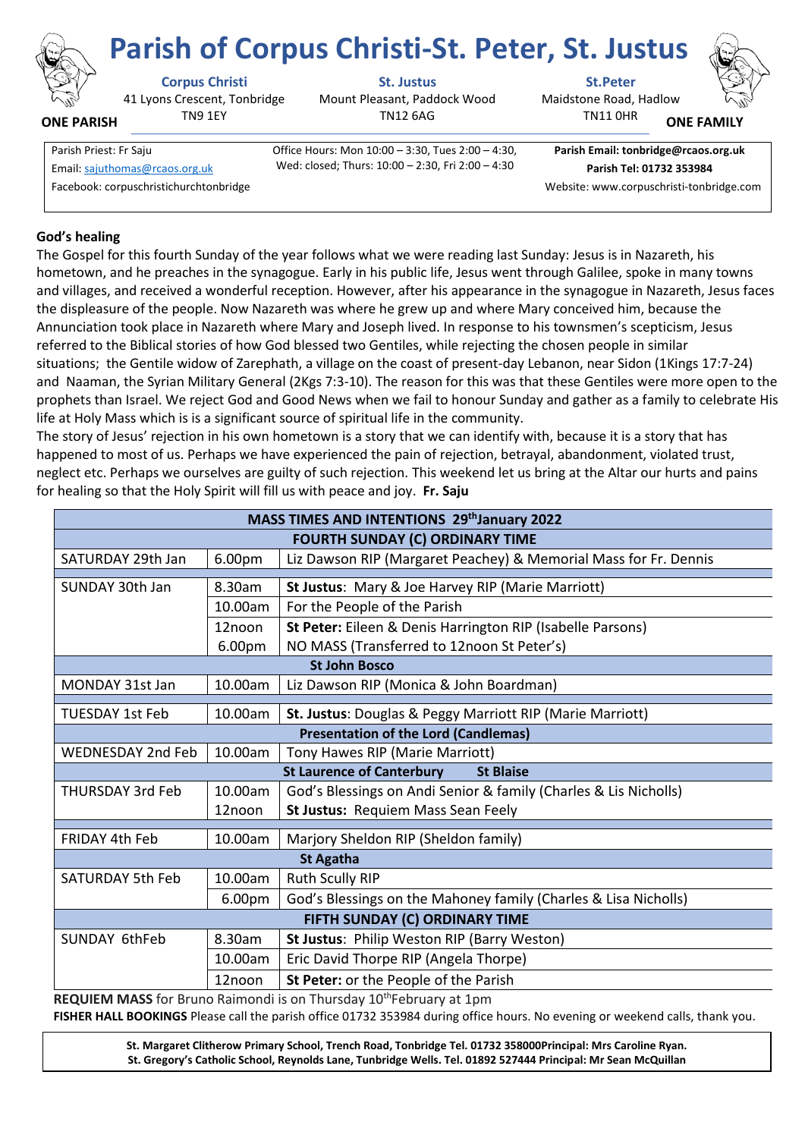

# **Corpus Christi St. Justus St.Peter**

41 Lyons Crescent, Tonbridge TN9 1EY

Mount Pleasant, Paddock Wood TN12 6AG

Wed: closed; Thurs: 10:00 – 2:30, Fri 2:00 – 4:30

**Parish of Corpus Christi-St. Peter, St. Justus**

Maidstone Road, Hadlow TN11 0HR



**ONE FAMILY**

Parish Priest: Fr Saju **Office Hours: Mon 10:00 – 3:30, Tues 2:00 – 4:30,** Email[: sajuthomas@rcaos.org.uk](about:blank) **Parish Tel: 01732 353984**

**Parish Email: tonbridge@rcaos.org.uk**

Facebook: corpuschristichurchtonbridge Website: www.corpuschristi-tonbridge.com

## **God's healing**

**ONE PARISH**

The Gospel for this fourth Sunday of the year follows what we were reading last Sunday: Jesus is in Nazareth, his hometown, and he preaches in the synagogue. Early in his public life, Jesus went through Galilee, spoke in many towns and villages, and received a wonderful reception. However, after his appearance in the synagogue in Nazareth, Jesus faces the displeasure of the people. Now Nazareth was where he grew up and where Mary conceived him, because the Annunciation took place in Nazareth where Mary and Joseph lived. In response to his townsmen's scepticism, Jesus referred to the Biblical stories of how God blessed two Gentiles, while rejecting the chosen people in similar situations; the Gentile widow of Zarephath, a village on the coast of present-day Lebanon, near Sidon (1Kings 17:7-24) and Naaman, the Syrian Military General (2Kgs 7:3-10). The reason for this was that these Gentiles were more open to the prophets than Israel. We reject God and Good News when we fail to honour Sunday and gather as a family to celebrate His life at Holy Mass which is is a significant source of spiritual life in the community.

The story of Jesus' rejection in his own hometown is a story that we can identify with, because it is a story that has happened to most of us. Perhaps we have experienced the pain of rejection, betrayal, abandonment, violated trust, neglect etc. Perhaps we ourselves are guilty of such rejection. This weekend let us bring at the Altar our hurts and pains for healing so that the Holy Spirit will fill us with peace and joy. **Fr. Saju**

| MASS TIMES AND INTENTIONS 29th January 2022          |         |                                                                  |
|------------------------------------------------------|---------|------------------------------------------------------------------|
| <b>FOURTH SUNDAY (C) ORDINARY TIME</b>               |         |                                                                  |
| SATURDAY 29th Jan                                    | 6.00pm  | Liz Dawson RIP (Margaret Peachey) & Memorial Mass for Fr. Dennis |
|                                                      |         |                                                                  |
| SUNDAY 30th Jan                                      | 8.30am  | St Justus: Mary & Joe Harvey RIP (Marie Marriott)                |
|                                                      | 10.00am | For the People of the Parish                                     |
|                                                      | 12noon  | St Peter: Eileen & Denis Harrington RIP (Isabelle Parsons)       |
|                                                      | 6.00pm  | NO MASS (Transferred to 12noon St Peter's)                       |
| <b>St John Bosco</b>                                 |         |                                                                  |
| MONDAY 31st Jan                                      | 10.00am | Liz Dawson RIP (Monica & John Boardman)                          |
| <b>TUESDAY 1st Feb</b>                               | 10.00am | St. Justus: Douglas & Peggy Marriott RIP (Marie Marriott)        |
| <b>Presentation of the Lord (Candlemas)</b>          |         |                                                                  |
| <b>WEDNESDAY 2nd Feb</b>                             | 10.00am | Tony Hawes RIP (Marie Marriott)                                  |
| <b>St Laurence of Canterbury</b><br><b>St Blaise</b> |         |                                                                  |
| <b>THURSDAY 3rd Feb</b>                              | 10.00am | God's Blessings on Andi Senior & family (Charles & Lis Nicholls) |
|                                                      | 12noon  | St Justus: Requiem Mass Sean Feely                               |
| <b>FRIDAY 4th Feb</b>                                | 10.00am | Marjory Sheldon RIP (Sheldon family)                             |
|                                                      |         |                                                                  |
|                                                      |         | <b>St Agatha</b>                                                 |
| <b>SATURDAY 5th Feb</b>                              | 10.00am | <b>Ruth Scully RIP</b>                                           |
|                                                      | 6.00pm  | God's Blessings on the Mahoney family (Charles & Lisa Nicholls)  |
| FIFTH SUNDAY (C) ORDINARY TIME                       |         |                                                                  |
| <b>SUNDAY 6thFeb</b>                                 | 8.30am  | St Justus: Philip Weston RIP (Barry Weston)                      |
|                                                      | 10.00am | Eric David Thorpe RIP (Angela Thorpe)                            |
|                                                      | 12noon  | St Peter: or the People of the Parish                            |

**REQUIEM MASS** for Bruno Raimondi is on Thursday 10<sup>th</sup>February at 1pm **FISHER HALL BOOKINGS** Please call the parish office 01732 353984 during office hours. No evening or weekend calls, thank you.

**St. Margaret Clitherow Primary School, Trench Road, Tonbridge Tel. 01732 358000Principal: Mrs Caroline Ryan. St. Gregory's Catholic School, Reynolds Lane, Tunbridge Wells. Tel. 01892 527444 Principal: Mr Sean McQuillan**